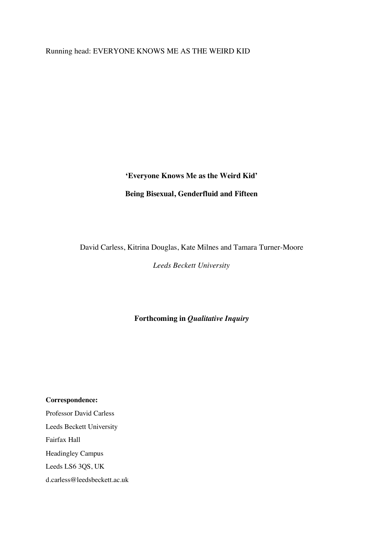# Running head: EVERYONE KNOWS ME AS THE WEIRD KID

### **'Everyone Knows Me as the Weird Kid'**

# **Being Bisexual, Genderfluid and Fifteen**

# David Carless, Kitrina Douglas, Kate Milnes and Tamara Turner-Moore

*Leeds Beckett University*

**Forthcoming in** *Qualitative Inquiry*

**Correspondence:** Professor David Carless Leeds Beckett University Fairfax Hall Headingley Campus Leeds LS6 3QS, UK d.carless@leedsbeckett.ac.uk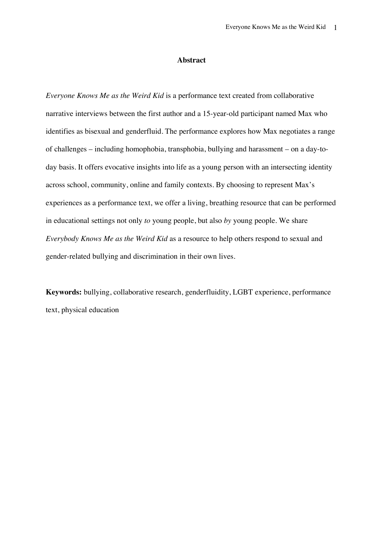#### **Abstract**

*Everyone Knows Me as the Weird Kid* is a performance text created from collaborative narrative interviews between the first author and a 15-year-old participant named Max who identifies as bisexual and genderfluid. The performance explores how Max negotiates a range of challenges – including homophobia, transphobia, bullying and harassment – on a day-today basis. It offers evocative insights into life as a young person with an intersecting identity across school, community, online and family contexts. By choosing to represent Max's experiences as a performance text, we offer a living, breathing resource that can be performed in educational settings not only *to* young people, but also *by* young people. We share *Everybody Knows Me as the Weird Kid* as a resource to help others respond to sexual and gender-related bullying and discrimination in their own lives.

**Keywords:** bullying, collaborative research, genderfluidity, LGBT experience, performance text, physical education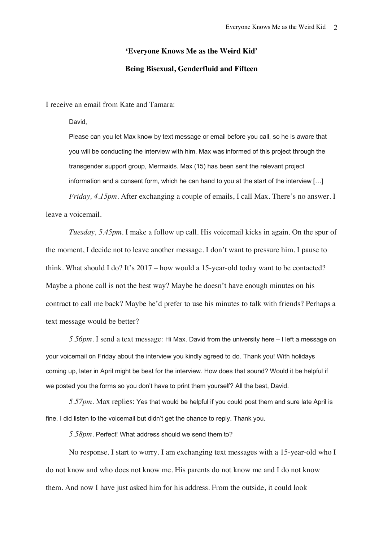# **'Everyone Knows Me as the Weird Kid' Being Bisexual, Genderfluid and Fifteen**

I receive an email from Kate and Tamara:

David,

Please can you let Max know by text message or email before you call, so he is aware that you will be conducting the interview with him. Max was informed of this project through the transgender support group, Mermaids. Max (15) has been sent the relevant project information and a consent form, which he can hand to you at the start of the interview […] *Friday, 4.15pm*. After exchanging a couple of emails, I call Max. There's no answer. I leave a voicemail.

*Tuesday, 5.45pm*. I make a follow up call. His voicemail kicks in again. On the spur of the moment, I decide not to leave another message. I don't want to pressure him. I pause to think. What should I do? It's 2017 – how would a 15-year-old today want to be contacted? Maybe a phone call is not the best way? Maybe he doesn't have enough minutes on his contract to call me back? Maybe he'd prefer to use his minutes to talk with friends? Perhaps a text message would be better?

*5.56pm*. I send a text message: Hi Max. David from the university here – I left a message on your voicemail on Friday about the interview you kindly agreed to do. Thank you! With holidays coming up, later in April might be best for the interview. How does that sound? Would it be helpful if we posted you the forms so you don't have to print them yourself? All the best, David.

*5.57pm.* Max replies: Yes that would be helpful if you could post them and sure late April is fine, I did listen to the voicemail but didn't get the chance to reply. Thank you.

*5.58pm*. Perfect! What address should we send them to?

No response. I start to worry. I am exchanging text messages with a 15-year-old who I do not know and who does not know me. His parents do not know me and I do not know them. And now I have just asked him for his address. From the outside, it could look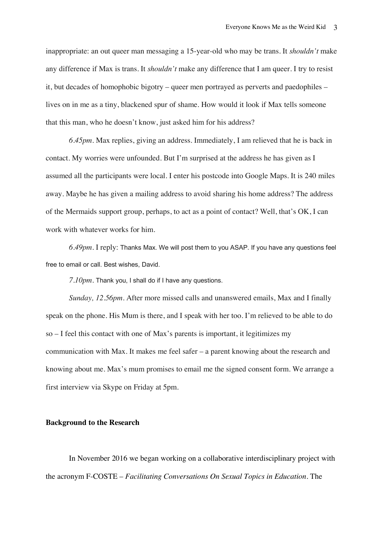inappropriate: an out queer man messaging a 15-year-old who may be trans. It *shouldn't* make any difference if Max is trans. It *shouldn't* make any difference that I am queer. I try to resist it, but decades of homophobic bigotry – queer men portrayed as perverts and paedophiles – lives on in me as a tiny, blackened spur of shame. How would it look if Max tells someone that this man, who he doesn't know, just asked him for his address?

*6.45pm.* Max replies, giving an address. Immediately, I am relieved that he is back in contact. My worries were unfounded. But I'm surprised at the address he has given as I assumed all the participants were local. I enter his postcode into Google Maps. It is 240 miles away. Maybe he has given a mailing address to avoid sharing his home address? The address of the Mermaids support group, perhaps, to act as a point of contact? Well, that's OK, I can work with whatever works for him.

*6.49pm.* I reply: Thanks Max. We will post them to you ASAP. If you have any questions feel free to email or call. Best wishes, David.

*7.10pm*. Thank you, I shall do if I have any questions.

*Sunday, 12.56pm*. After more missed calls and unanswered emails, Max and I finally speak on the phone. His Mum is there, and I speak with her too. I'm relieved to be able to do so – I feel this contact with one of Max's parents is important, it legitimizes my communication with Max. It makes me feel safer – a parent knowing about the research and knowing about me. Max's mum promises to email me the signed consent form. We arrange a first interview via Skype on Friday at 5pm.

#### **Background to the Research**

In November 2016 we began working on a collaborative interdisciplinary project with the acronym F-COSTE – *Facilitating Conversations On Sexual Topics in Education*. The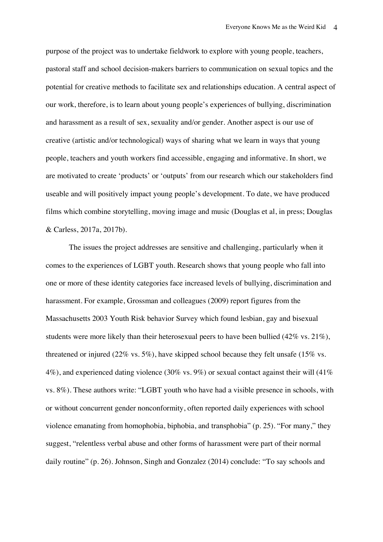purpose of the project was to undertake fieldwork to explore with young people, teachers, pastoral staff and school decision-makers barriers to communication on sexual topics and the potential for creative methods to facilitate sex and relationships education. A central aspect of our work, therefore, is to learn about young people's experiences of bullying, discrimination and harassment as a result of sex, sexuality and/or gender. Another aspect is our use of creative (artistic and/or technological) ways of sharing what we learn in ways that young people, teachers and youth workers find accessible, engaging and informative. In short, we are motivated to create 'products' or 'outputs' from our research which our stakeholders find useable and will positively impact young people's development. To date, we have produced films which combine storytelling, moving image and music (Douglas et al, in press; Douglas & Carless, 2017a, 2017b).

The issues the project addresses are sensitive and challenging, particularly when it comes to the experiences of LGBT youth. Research shows that young people who fall into one or more of these identity categories face increased levels of bullying, discrimination and harassment. For example, Grossman and colleagues (2009) report figures from the Massachusetts 2003 Youth Risk behavior Survey which found lesbian, gay and bisexual students were more likely than their heterosexual peers to have been bullied (42% vs. 21%), threatened or injured (22% vs. 5%), have skipped school because they felt unsafe (15% vs. 4%), and experienced dating violence (30% vs. 9%) or sexual contact against their will (41%) vs. 8%). These authors write: "LGBT youth who have had a visible presence in schools, with or without concurrent gender nonconformity, often reported daily experiences with school violence emanating from homophobia, biphobia, and transphobia" (p. 25). "For many," they suggest, "relentless verbal abuse and other forms of harassment were part of their normal daily routine" (p. 26). Johnson, Singh and Gonzalez (2014) conclude: "To say schools and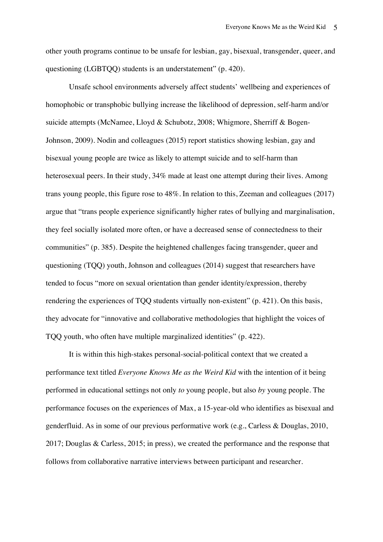other youth programs continue to be unsafe for lesbian, gay, bisexual, transgender, queer, and questioning (LGBTQQ) students is an understatement" (p. 420).

Unsafe school environments adversely affect students' wellbeing and experiences of homophobic or transphobic bullying increase the likelihood of depression, self-harm and/or suicide attempts (McNamee, Lloyd & Schubotz, 2008; Whigmore, Sherriff & Bogen-Johnson, 2009). Nodin and colleagues (2015) report statistics showing lesbian, gay and bisexual young people are twice as likely to attempt suicide and to self-harm than heterosexual peers. In their study, 34% made at least one attempt during their lives. Among trans young people, this figure rose to 48%. In relation to this, Zeeman and colleagues (2017) argue that "trans people experience significantly higher rates of bullying and marginalisation, they feel socially isolated more often, or have a decreased sense of connectedness to their communities" (p. 385). Despite the heightened challenges facing transgender, queer and questioning (TQQ) youth, Johnson and colleagues (2014) suggest that researchers have tended to focus "more on sexual orientation than gender identity/expression, thereby rendering the experiences of TQQ students virtually non-existent" (p. 421). On this basis, they advocate for "innovative and collaborative methodologies that highlight the voices of TQQ youth, who often have multiple marginalized identities" (p. 422).

It is within this high-stakes personal-social-political context that we created a performance text titled *Everyone Knows Me as the Weird Kid* with the intention of it being performed in educational settings not only *to* young people, but also *by* young people. The performance focuses on the experiences of Max, a 15-year-old who identifies as bisexual and genderfluid. As in some of our previous performative work (e.g., Carless & Douglas, 2010, 2017; Douglas & Carless, 2015; in press), we created the performance and the response that follows from collaborative narrative interviews between participant and researcher.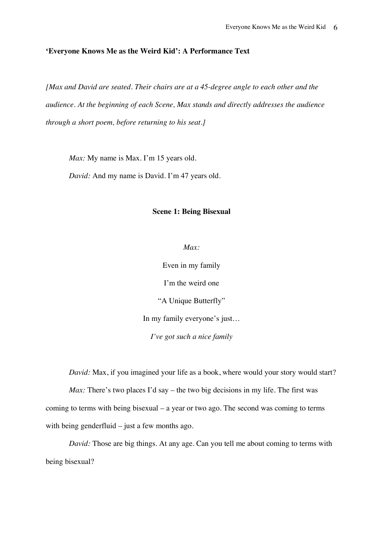#### **'Everyone Knows Me as the Weird Kid': A Performance Text**

*[Max and David are seated. Their chairs are at a 45-degree angle to each other and the audience. At the beginning of each Scene, Max stands and directly addresses the audience through a short poem, before returning to his seat.]* 

*Max:* My name is Max. I'm 15 years old.

*David:* And my name is David. I'm 47 years old.

#### **Scene 1: Being Bisexual**

*Max:*

Even in my family

I'm the weird one

"A Unique Butterfly"

In my family everyone's just…

*I've got such a nice family*

*David:* Max, if you imagined your life as a book, where would your story would start?

*Max:* There's two places I'd say – the two big decisions in my life. The first was coming to terms with being bisexual – a year or two ago. The second was coming to terms with being genderfluid – just a few months ago.

*David:* Those are big things. At any age. Can you tell me about coming to terms with being bisexual?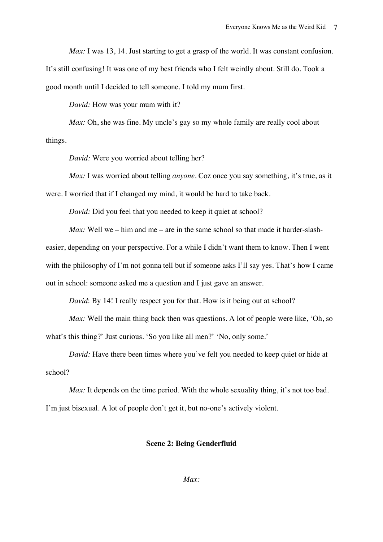*Max*: I was 13, 14. Just starting to get a grasp of the world. It was constant confusion.

It's still confusing! It was one of my best friends who I felt weirdly about. Still do. Took a good month until I decided to tell someone. I told my mum first*.* 

*David:* How was your mum with it?

*Max:* Oh, she was fine. My uncle's gay so my whole family are really cool about things.

*David:* Were you worried about telling her?

*Max:* I was worried about telling *anyone*. Coz once you say something, it's true, as it were. I worried that if I changed my mind, it would be hard to take back.

*David:* Did you feel that you needed to keep it quiet at school?

*Max:* Well we – him and me – are in the same school so that made it harder-slasheasier, depending on your perspective. For a while I didn't want them to know. Then I went with the philosophy of I'm not gonna tell but if someone asks I'll say yes. That's how I came out in school: someone asked me a question and I just gave an answer.

*David*: By 14! I really respect you for that. How is it being out at school?

*Max:* Well the main thing back then was questions. A lot of people were like, 'Oh, so what's this thing?' Just curious. 'So you like all men?' 'No, only some.'

*David:* Have there been times where you've felt you needed to keep quiet or hide at school?

*Max:* It depends on the time period. With the whole sexuality thing, it's not too bad. I'm just bisexual. A lot of people don't get it, but no-one's actively violent.

#### **Scene 2: Being Genderfluid**

*Max:*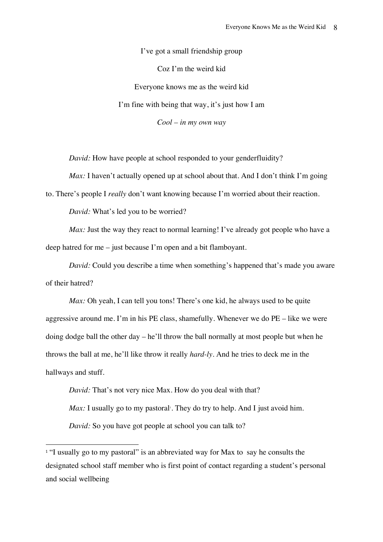I've got a small friendship group Coz I'm the weird kid Everyone knows me as the weird kid I'm fine with being that way, it's just how I am *Cool – in my own way*

*David:* How have people at school responded to your genderfluidity?

*Max:* I haven't actually opened up at school about that. And I don't think I'm going

to. There's people I *really* don't want knowing because I'm worried about their reaction.

*David:* What's led you to be worried?

*Max*: Just the way they react to normal learning! I've already got people who have a deep hatred for me – just because I'm open and a bit flamboyant.

*David:* Could you describe a time when something's happened that's made you aware of their hatred?

*Max:* Oh yeah, I can tell you tons! There's one kid, he always used to be quite aggressive around me. I'm in his PE class, shamefully. Whenever we do PE – like we were doing dodge ball the other day – he'll throw the ball normally at most people but when he throws the ball at me, he'll like throw it really *hard-ly*. And he tries to deck me in the hallways and stuff.

*David:* That's not very nice Max. How do you deal with that? *Max:* I usually go to my pastoral<sup>1</sup>. They do try to help. And I just avoid him. *David:* So you have got people at school you can talk to?

<sup>&</sup>lt;sup>1</sup> "I usually go to my pastoral" is an abbreviated way for Max to say he consults the designated school staff member who is first point of contact regarding a student's personal and social wellbeing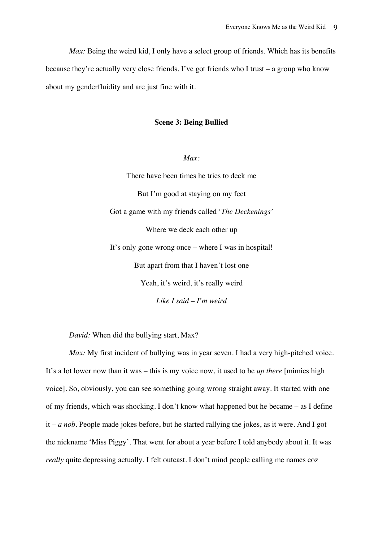*Max:* Being the weird kid, I only have a select group of friends. Which has its benefits because they're actually very close friends. I've got friends who I trust – a group who know about my genderfluidity and are just fine with it.

#### **Scene 3: Being Bullied**

*Max:*

There have been times he tries to deck me But I'm good at staying on my feet Got a game with my friends called '*The Deckenings'* Where we deck each other up It's only gone wrong once – where I was in hospital! But apart from that I haven't lost one Yeah, it's weird, it's really weird *Like I said – I'm weird*

*David:* When did the bullying start, Max?

*Max:* My first incident of bullying was in year seven. I had a very high-pitched voice. It's a lot lower now than it was – this is my voice now, it used to be *up there* [mimics high voice]. So, obviously, you can see something going wrong straight away. It started with one of my friends, which was shocking. I don't know what happened but he became – as I define it – *a nob*. People made jokes before, but he started rallying the jokes, as it were. And I got the nickname 'Miss Piggy'. That went for about a year before I told anybody about it. It was *really* quite depressing actually. I felt outcast. I don't mind people calling me names coz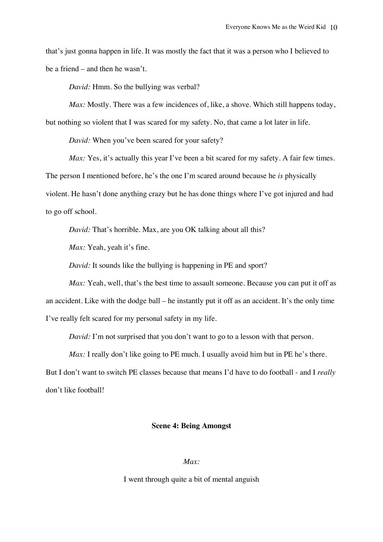that's just gonna happen in life. It was mostly the fact that it was a person who I believed to be a friend – and then he wasn't.

*David:* Hmm. So the bullying was verbal?

*Max:* Mostly. There was a few incidences of, like, a shove. Which still happens today, but nothing so violent that I was scared for my safety. No, that came a lot later in life.

*David:* When you've been scared for your safety?

*Max:* Yes, it's actually this year I've been a bit scared for my safety. A fair few times. The person I mentioned before, he's the one I'm scared around because he *is* physically violent. He hasn't done anything crazy but he has done things where I've got injured and had to go off school.

*David:* That's horrible. Max, are you OK talking about all this?

*Max:* Yeah, yeah it's fine.

*David:* It sounds like the bullying is happening in PE and sport?

*Max:* Yeah, well, that's the best time to assault someone. Because you can put it off as an accident. Like with the dodge ball – he instantly put it off as an accident. It's the only time I've really felt scared for my personal safety in my life.

*David:* I'm not surprised that you don't want to go to a lesson with that person.

*Max:* I really don't like going to PE much. I usually avoid him but in PE he's there.

But I don't want to switch PE classes because that means I'd have to do football - and I *really* don't like football!

#### **Scene 4: Being Amongst**

*Max:*

I went through quite a bit of mental anguish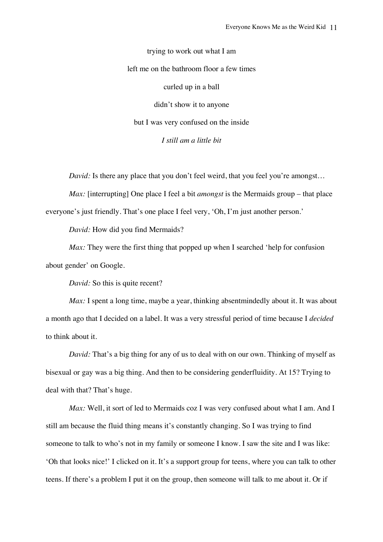trying to work out what I am left me on the bathroom floor a few times curled up in a ball didn't show it to anyone but I was very confused on the inside *I still am a little bit*

*David:* Is there any place that you don't feel weird, that you feel you're amongst...

*Max:* [interrupting] One place I feel a bit *amongst* is the Mermaids group – that place everyone's just friendly. That's one place I feel very, 'Oh, I'm just another person.'

*David:* How did you find Mermaids?

*Max*: They were the first thing that popped up when I searched 'help for confusion about gender' on Google.

*David:* So this is quite recent?

*Max*: I spent a long time, maybe a year, thinking absentmindedly about it. It was about a month ago that I decided on a label. It was a very stressful period of time because I *decided* to think about it.

*David:* That's a big thing for any of us to deal with on our own. Thinking of myself as bisexual or gay was a big thing. And then to be considering genderfluidity. At 15? Trying to deal with that? That's huge.

*Max:* Well, it sort of led to Mermaids coz I was very confused about what I am. And I still am because the fluid thing means it's constantly changing. So I was trying to find someone to talk to who's not in my family or someone I know. I saw the site and I was like: 'Oh that looks nice!' I clicked on it. It's a support group for teens, where you can talk to other teens. If there's a problem I put it on the group, then someone will talk to me about it. Or if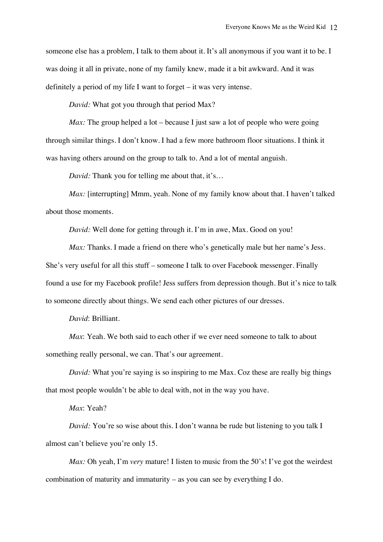someone else has a problem, I talk to them about it. It's all anonymous if you want it to be. I was doing it all in private, none of my family knew, made it a bit awkward. And it was definitely a period of my life I want to forget – it was very intense.

*David:* What got you through that period Max?

*Max:* The group helped a lot – because I just saw a lot of people who were going through similar things. I don't know. I had a few more bathroom floor situations. I think it was having others around on the group to talk to. And a lot of mental anguish.

*David:* Thank you for telling me about that, it's...

*Max:* [interrupting] Mmm, yeah. None of my family know about that. I haven't talked about those moments.

*David:* Well done for getting through it. I'm in awe, Max. Good on you!

*Max:* Thanks. I made a friend on there who's genetically male but her name's Jess. She's very useful for all this stuff – someone I talk to over Facebook messenger. Finally found a use for my Facebook profile! Jess suffers from depression though. But it's nice to talk to someone directly about things. We send each other pictures of our dresses.

*David*: Brilliant.

*Max*: Yeah. We both said to each other if we ever need someone to talk to about something really personal, we can. That's our agreement.

*David:* What you're saying is so inspiring to me Max. Coz these are really big things that most people wouldn't be able to deal with, not in the way you have.

*Max*: Yeah?

*David:* You're so wise about this. I don't wanna be rude but listening to you talk I almost can't believe you're only 15.

*Max:* Oh yeah, I'm *very* mature! I listen to music from the 50's! I've got the weirdest combination of maturity and immaturity – as you can see by everything I do.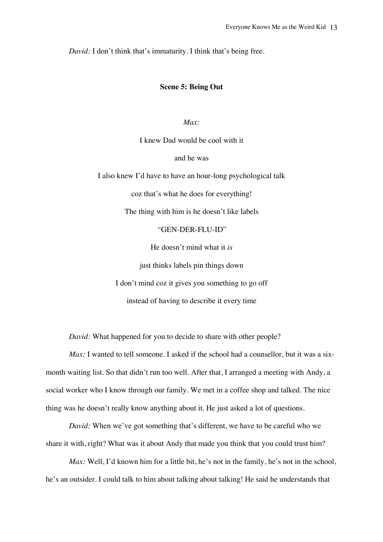*David:* I don't think that's immaturity. I think that's being free.

#### **Scene 5: Being Out**

*Max:*

I knew Dad would be cool with it and he was I also knew I'd have to have an hour-long psychological talk coz that's what he does for everything! The thing with him is he doesn't like labels *"*GEN-DER-FLU-ID" He doesn't mind what it *is* just thinks labels pin things down I don't mind coz it gives you something to go off

instead of having to describe it every time

*David:* What happened for you to decide to share with other people?

*Max:* I wanted to tell someone. I asked if the school had a counsellor, but it was a sixmonth waiting list. So that didn't run too well. After that, I arranged a meeting with Andy, a social worker who I know through our family. We met in a coffee shop and talked. The nice thing was he doesn't really know anything about it. He just asked a lot of questions.

*David:* When we've got something that's different, we have to be careful who we share it with, right? What was it about Andy that made you think that you could trust him?

*Max:* Well, I'd known him for a little bit, he's not in the family, he's not in the school, he's an outsider. I could talk to him about talking about talking! He said he understands that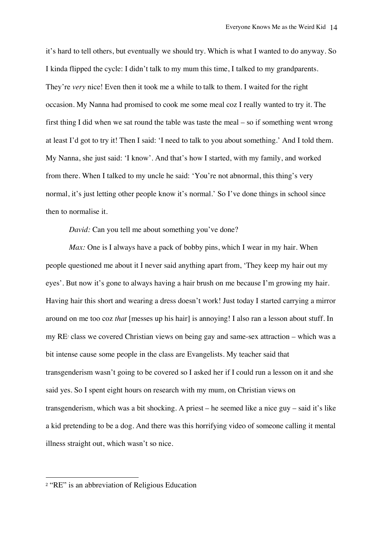it's hard to tell others, but eventually we should try. Which is what I wanted to do anyway. So I kinda flipped the cycle: I didn't talk to my mum this time, I talked to my grandparents. They're *very* nice! Even then it took me a while to talk to them. I waited for the right occasion. My Nanna had promised to cook me some meal coz I really wanted to try it. The first thing I did when we sat round the table was taste the meal – so if something went wrong at least I'd got to try it! Then I said: 'I need to talk to you about something.' And I told them. My Nanna, she just said: 'I know'. And that's how I started, with my family, and worked from there. When I talked to my uncle he said: 'You're not abnormal, this thing's very normal, it's just letting other people know it's normal.' So I've done things in school since then to normalise it.

*David:* Can you tell me about something you've done?

*Max:* One is I always have a pack of bobby pins, which I wear in my hair. When people questioned me about it I never said anything apart from, 'They keep my hair out my eyes'. But now it's gone to always having a hair brush on me because I'm growing my hair. Having hair this short and wearing a dress doesn't work! Just today I started carrying a mirror around on me too coz *that* [messes up his hair] is annoying! I also ran a lesson about stuff. In my RE<sup>2</sup> class we covered Christian views on being gay and same-sex attraction – which was a bit intense cause some people in the class are Evangelists. My teacher said that transgenderism wasn't going to be covered so I asked her if I could run a lesson on it and she said yes. So I spent eight hours on research with my mum, on Christian views on transgenderism, which was a bit shocking. A priest – he seemed like a nice guy – said it's like a kid pretending to be a dog. And there was this horrifying video of someone calling it mental illness straight out, which wasn't so nice.

<sup>2</sup> "RE" is an abbreviation of Religious Education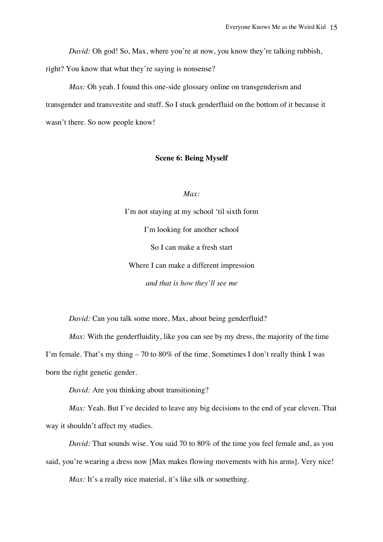*David:* Oh god! So, Max, where you're at now, you know they're talking rubbish,

right? You know that what they're saying is nonsense?

*Max:* Oh yeah. I found this one-side glossary online on transgenderism and transgender and transvestite and stuff. So I stuck genderfluid on the bottom of it because it wasn't there. So now people know!

## **Scene 6: Being Myself**

*Max:*

I'm not staying at my school 'til sixth form I'm looking for another school So I can make a fresh start Where I can make a different impression *and that is how they'll see me*

*David:* Can you talk some more, Max, about being genderfluid?

*Max:* With the genderfluidity, like you can see by my dress, the majority of the time I'm female. That's my thing – 70 to 80% of the time. Sometimes I don't really think I was

born the right genetic gender.

*David:* Are you thinking about transitioning?

*Max:* Yeah. But I've decided to leave any big decisions to the end of year eleven. That way it shouldn't affect my studies.

*David:* That sounds wise. You said 70 to 80% of the time you feel female and, as you said, you're wearing a dress now [Max makes flowing movements with his arms]. Very nice!

*Max:* It's a really nice material, it's like silk or something.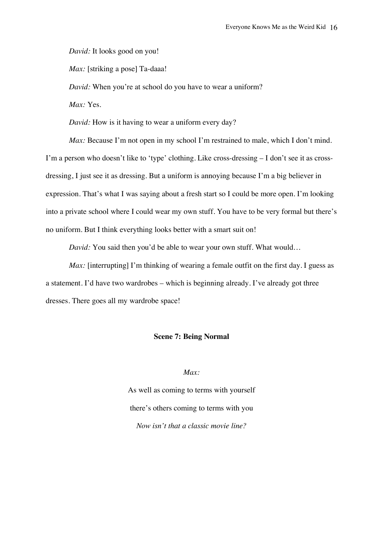*David:* It looks good on you!

*Max:* [striking a pose] Ta-daaa!

*David:* When you're at school do you have to wear a uniform?

*Max:* Yes.

*David:* How is it having to wear a uniform every day?

*Max:* Because I'm not open in my school I'm restrained to male, which I don't mind. I'm a person who doesn't like to 'type' clothing. Like cross-dressing – I don't see it as crossdressing, I just see it as dressing. But a uniform is annoying because I'm a big believer in expression. That's what I was saying about a fresh start so I could be more open. I'm looking into a private school where I could wear my own stuff. You have to be very formal but there's no uniform. But I think everything looks better with a smart suit on!

*David:* You said then you'd be able to wear your own stuff. What would…

*Max:* [interrupting] I'm thinking of wearing a female outfit on the first day. I guess as a statement. I'd have two wardrobes – which is beginning already. I've already got three dresses. There goes all my wardrobe space!

#### **Scene 7: Being Normal**

*Max:*

As well as coming to terms with yourself there's others coming to terms with you *Now isn't that a classic movie line?*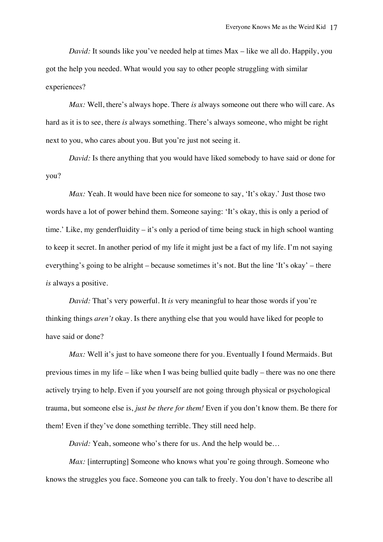*David:* It sounds like you've needed help at times Max – like we all do. Happily, you got the help you needed. What would you say to other people struggling with similar experiences?

*Max:* Well, there's always hope. There *is* always someone out there who will care. As hard as it is to see, there *is* always something. There's always someone, who might be right next to you, who cares about you. But you're just not seeing it.

*David:* Is there anything that you would have liked somebody to have said or done for you?

*Max:* Yeah. It would have been nice for someone to say, 'It's okay.' Just those two words have a lot of power behind them. Someone saying: 'It's okay, this is only a period of time.' Like, my genderfluidity – it's only a period of time being stuck in high school wanting to keep it secret. In another period of my life it might just be a fact of my life. I'm not saying everything's going to be alright – because sometimes it's not. But the line 'It's okay' – there *is* always a positive.

*David:* That's very powerful. It *is* very meaningful to hear those words if you're thinking things *aren't* okay. Is there anything else that you would have liked for people to have said or done?

*Max:* Well it's just to have someone there for you. Eventually I found Mermaids. But previous times in my life – like when I was being bullied quite badly – there was no one there actively trying to help. Even if you yourself are not going through physical or psychological trauma, but someone else is, *just be there for them!* Even if you don't know them. Be there for them! Even if they've done something terrible. They still need help.

*David:* Yeah, someone who's there for us. And the help would be…

*Max:* [interrupting] Someone who knows what you're going through. Someone who knows the struggles you face. Someone you can talk to freely. You don't have to describe all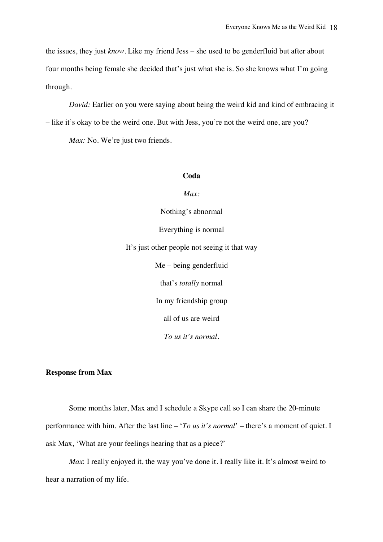the issues, they just *know*. Like my friend Jess – she used to be genderfluid but after about four months being female she decided that's just what she is. So she knows what I'm going through.

*David:* Earlier on you were saying about being the weird kid and kind of embracing it – like it's okay to be the weird one. But with Jess, you're not the weird one, are you?

*Max:* No. We're just two friends.

#### **Coda**

*Max:*

Nothing's abnormal

Everything is normal

It's just other people not seeing it that way

Me – being genderfluid that's *totally* normal In my friendship group all of us are weird *To us it's normal.*

#### **Response from Max**

Some months later, Max and I schedule a Skype call so I can share the 20-minute performance with him. After the last line – '*To us it's normal*' – there's a moment of quiet. I ask Max, 'What are your feelings hearing that as a piece?'

*Max*: I really enjoyed it, the way you've done it. I really like it. It's almost weird to hear a narration of my life.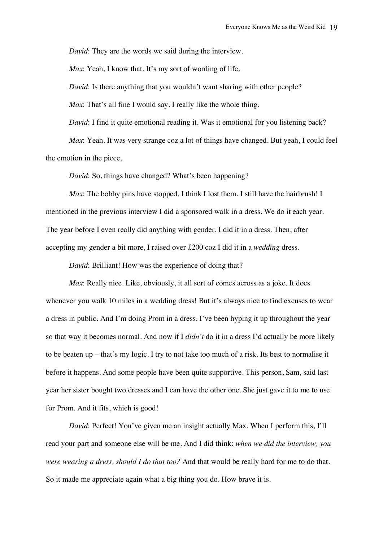*David*: They are the words we said during the interview.

*Max*: Yeah, I know that. It's my sort of wording of life.

*David*: Is there anything that you wouldn't want sharing with other people?

*Max*: That's all fine I would say. I really like the whole thing.

*David*: I find it quite emotional reading it. Was it emotional for you listening back?

*Max*: Yeah. It was very strange coz a lot of things have changed. But yeah, I could feel the emotion in the piece.

*David*: So, things have changed? What's been happening?

*Max*: The bobby pins have stopped. I think I lost them. I still have the hairbrush! I mentioned in the previous interview I did a sponsored walk in a dress. We do it each year. The year before I even really did anything with gender, I did it in a dress. Then, after accepting my gender a bit more, I raised over £200 coz I did it in a *wedding* dress.

*David*: Brilliant! How was the experience of doing that?

*Max*: Really nice. Like, obviously, it all sort of comes across as a joke. It does whenever you walk 10 miles in a wedding dress! But it's always nice to find excuses to wear a dress in public. And I'm doing Prom in a dress. I've been hyping it up throughout the year so that way it becomes normal. And now if I *didn't* do it in a dress I'd actually be more likely to be beaten up – that's my logic. I try to not take too much of a risk. Its best to normalise it before it happens. And some people have been quite supportive. This person, Sam, said last year her sister bought two dresses and I can have the other one. She just gave it to me to use for Prom. And it fits, which is good!

*David*: Perfect! You've given me an insight actually Max. When I perform this, I'll read your part and someone else will be me. And I did think: *when we did the interview, you were wearing a dress, should I do that too?* And that would be really hard for me to do that. So it made me appreciate again what a big thing you do. How brave it is.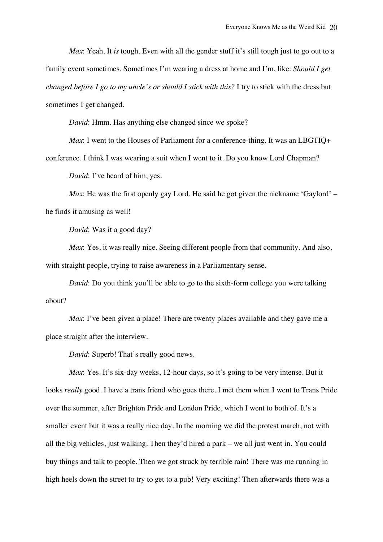*Max*: Yeah. It *is* tough. Even with all the gender stuff it's still tough just to go out to a family event sometimes. Sometimes I'm wearing a dress at home and I'm, like: *Should I get changed before I go to my uncle's or should I stick with this?* I try to stick with the dress but sometimes I get changed.

*David*: Hmm. Has anything else changed since we spoke?

*Max*: I went to the Houses of Parliament for a conference-thing. It was an LBGTIQ+ conference. I think I was wearing a suit when I went to it. Do you know Lord Chapman?

*David*: I've heard of him, yes.

*Max*: He was the first openly gay Lord. He said he got given the nickname 'Gaylord' – he finds it amusing as well!

*David*: Was it a good day?

*Max*: Yes, it was really nice. Seeing different people from that community. And also, with straight people, trying to raise awareness in a Parliamentary sense.

*David*: Do you think you'll be able to go to the sixth-form college you were talking about?

*Max*: I've been given a place! There are twenty places available and they gave me a place straight after the interview.

*David*: Superb! That's really good news.

*Max*: Yes. It's six-day weeks, 12-hour days, so it's going to be very intense. But it looks *really* good. I have a trans friend who goes there. I met them when I went to Trans Pride over the summer, after Brighton Pride and London Pride, which I went to both of. It's a smaller event but it was a really nice day. In the morning we did the protest march, not with all the big vehicles, just walking. Then they'd hired a park – we all just went in. You could buy things and talk to people. Then we got struck by terrible rain! There was me running in high heels down the street to try to get to a pub! Very exciting! Then afterwards there was a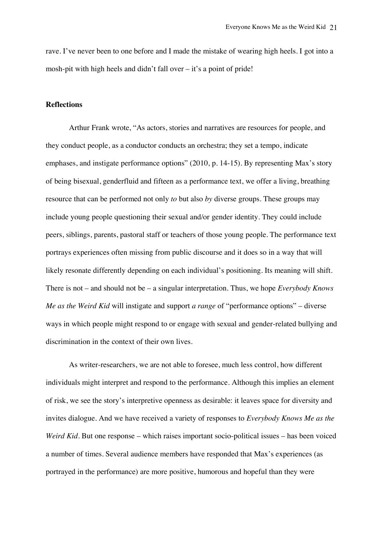rave. I've never been to one before and I made the mistake of wearing high heels. I got into a mosh-pit with high heels and didn't fall over – it's a point of pride!

## **Reflections**

Arthur Frank wrote, "As actors, stories and narratives are resources for people, and they conduct people, as a conductor conducts an orchestra; they set a tempo, indicate emphases, and instigate performance options" (2010, p. 14-15). By representing Max's story of being bisexual, genderfluid and fifteen as a performance text, we offer a living, breathing resource that can be performed not only *to* but also *by* diverse groups. These groups may include young people questioning their sexual and/or gender identity. They could include peers, siblings, parents, pastoral staff or teachers of those young people. The performance text portrays experiences often missing from public discourse and it does so in a way that will likely resonate differently depending on each individual's positioning. Its meaning will shift. There is not – and should not be – a singular interpretation. Thus, we hope *Everybody Knows Me as the Weird Kid* will instigate and support *a range* of "performance options" – diverse ways in which people might respond to or engage with sexual and gender-related bullying and discrimination in the context of their own lives.

As writer-researchers, we are not able to foresee, much less control, how different individuals might interpret and respond to the performance. Although this implies an element of risk, we see the story's interpretive openness as desirable: it leaves space for diversity and invites dialogue. And we have received a variety of responses to *Everybody Knows Me as the Weird Kid*. But one response – which raises important socio-political issues – has been voiced a number of times. Several audience members have responded that Max's experiences (as portrayed in the performance) are more positive, humorous and hopeful than they were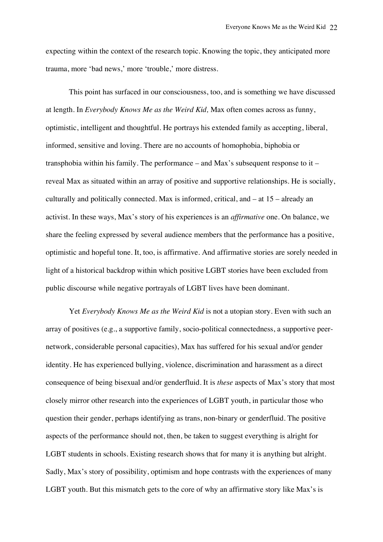expecting within the context of the research topic. Knowing the topic, they anticipated more trauma, more 'bad news,' more 'trouble,' more distress.

This point has surfaced in our consciousness, too, and is something we have discussed at length. In *Everybody Knows Me as the Weird Kid,* Max often comes across as funny, optimistic, intelligent and thoughtful. He portrays his extended family as accepting, liberal, informed, sensitive and loving. There are no accounts of homophobia, biphobia or transphobia within his family. The performance – and Max's subsequent response to it – reveal Max as situated within an array of positive and supportive relationships. He is socially, culturally and politically connected. Max is informed, critical, and – at 15 – already an activist. In these ways, Max's story of his experiences is an *affirmative* one. On balance, we share the feeling expressed by several audience members that the performance has a positive, optimistic and hopeful tone. It, too, is affirmative. And affirmative stories are sorely needed in light of a historical backdrop within which positive LGBT stories have been excluded from public discourse while negative portrayals of LGBT lives have been dominant.

Yet *Everybody Knows Me as the Weird Kid* is not a utopian story. Even with such an array of positives (e.g., a supportive family, socio-political connectedness, a supportive peernetwork, considerable personal capacities), Max has suffered for his sexual and/or gender identity. He has experienced bullying, violence, discrimination and harassment as a direct consequence of being bisexual and/or genderfluid. It is *these* aspects of Max's story that most closely mirror other research into the experiences of LGBT youth, in particular those who question their gender, perhaps identifying as trans, non-binary or genderfluid. The positive aspects of the performance should not, then, be taken to suggest everything is alright for LGBT students in schools. Existing research shows that for many it is anything but alright. Sadly, Max's story of possibility, optimism and hope contrasts with the experiences of many LGBT youth. But this mismatch gets to the core of why an affirmative story like Max's is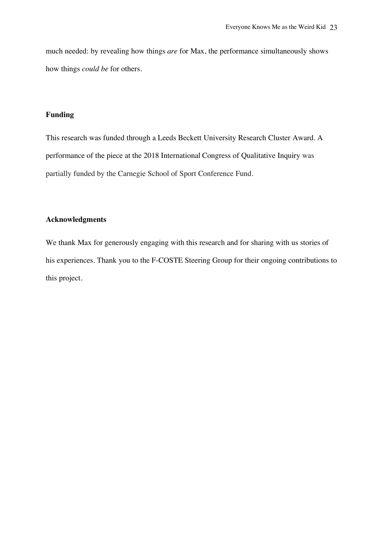much needed: by revealing how things *are* for Max, the performance simultaneously shows how things *could be* for others.

# **Funding**

This research was funded through a Leeds Beckett University Research Cluster Award. A performance of the piece at the 2018 International Congress of Qualitative Inquiry was partially funded by the Carnegie School of Sport Conference Fund.

# **Acknowledgments**

We thank Max for generously engaging with this research and for sharing with us stories of his experiences. Thank you to the F-COSTE Steering Group for their ongoing contributions to this project.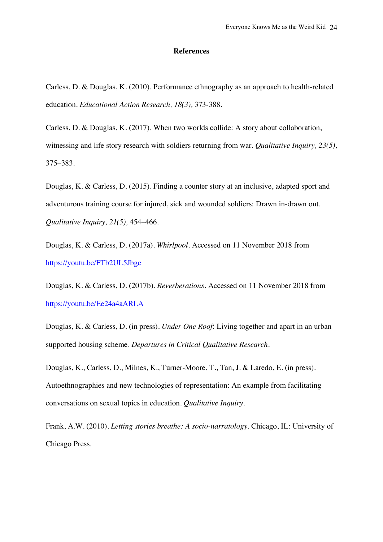#### **References**

Carless, D. & Douglas, K. (2010). Performance ethnography as an approach to health-related education. *Educational Action Research, 18(3),* 373-388.

Carless, D. & Douglas, K. (2017). When two worlds collide: A story about collaboration, witnessing and life story research with soldiers returning from war. *Qualitative Inquiry, 23(5),*  375–383.

Douglas, K. & Carless, D. (2015). Finding a counter story at an inclusive, adapted sport and adventurous training course for injured, sick and wounded soldiers: Drawn in-drawn out. *Qualitative Inquiry, 21(5),* 454–466.

Douglas, K. & Carless, D. (2017a). *Whirlpool.* Accessed on 11 November 2018 from https://youtu.be/FTb2UL5Jbgc

Douglas, K. & Carless, D. (2017b). *Reverberations.* Accessed on 11 November 2018 from https://youtu.be/Ee24a4aARLA

Douglas, K. & Carless, D. (in press). *Under One Roof*: Living together and apart in an urban supported housing scheme. *Departures in Critical Qualitative Research*.

Douglas, K., Carless, D., Milnes, K., Turner-Moore, T., Tan, J. & Laredo, E. (in press). Autoethnographies and new technologies of representation: An example from facilitating conversations on sexual topics in education. *Qualitative Inquiry.*

Frank, A.W. (2010). *Letting stories breathe: A socio-narratology*. Chicago, IL: University of Chicago Press.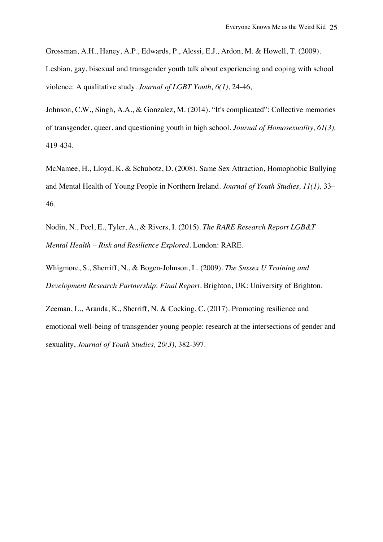Grossman, A.H., Haney, A.P., Edwards, P., Alessi, E.J., Ardon, M. & Howell, T. (2009). Lesbian, gay, bisexual and transgender youth talk about experiencing and coping with school violence: A qualitative study. *Journal of LGBT Youth, 6(1)*, 24-46,

Johnson, C.W., Singh, A.A., & Gonzalez, M. (2014). "It's complicated": Collective memories of transgender, queer, and questioning youth in high school. *Journal of Homosexuality, 61(3),* 419-434.

McNamee, H., Lloyd, K. & Schubotz, D. (2008). Same Sex Attraction, Homophobic Bullying and Mental Health of Young People in Northern Ireland. *Journal of Youth Studies, 11(1),* 33– 46.

Nodin, N., Peel, E., Tyler, A., & Rivers, I. (2015). *The RARE Research Report LGB&T Mental Health – Risk and Resilience Explored*. London: RARE.

Whigmore, S., Sherriff, N., & Bogen-Johnson, L. (2009). *The Sussex U Training and Development Research Partnership*: *Final Report*. Brighton, UK: University of Brighton.

Zeeman, L., Aranda, K., Sherriff, N. & Cocking, C. (2017). Promoting resilience and emotional well-being of transgender young people: research at the intersections of gender and sexuality, *Journal of Youth Studies, 20(3),* 382-397.